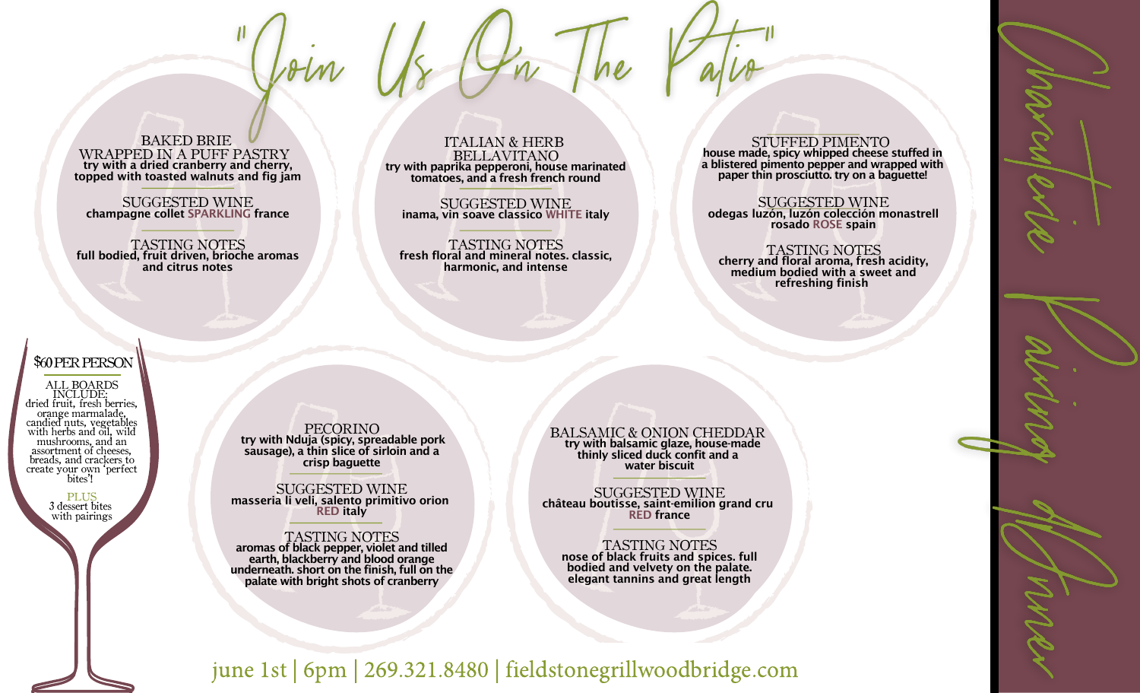BAKED BRIE WRAPPED IN A PUFF PASTRY try with a dried cranberry and cherry, topped with toasted walnuts and fig jam

SUGGESTED WINE champagne collet SPARKLING france

TASTING NOTES full bodied, fruit driven, brioche aromas and citrus notes

ITALIAN & HERB BELLAVITANO try with paprika pepperoni, house marinated tomatoes, and a fresh french round

SUGGESTED WINE inama, vin soave classico WHITE italy

TASTING NOTES fresh floral and mineral notes. classic, harmonic, and intense

STUFFED PIMENTO house made, spicy whipped cheese stuffed in a blistered pimento pepper and wrapped with paper thin prosciutto. try on a baguette!

SUGGESTED WINE odegas luzón, luzón colección monastrell rosado ROSE spain

TASTING NOTES cherry and floral aroma, fresh acidity, medium bodied with a sweet and refreshing finish

# \$60PERPERSON

ALL BOARDS INCLUDE: dried fruit, fresh berries, orange marmalade, candied nuts, vegetables with herbs and oil, wild mushrooms, and an assortment of cheeses, breads, and crackers to create your own 'perfect bites'!

> PLUS 3 dessert bites with pairings

PECORINO try with Nduja (spicy, spreadable pork sausage), a thin slice of sirloin and a crisp baguette

SUGGESTED WINE masseria li veli, salento primitivo orion RED italy

TASTING NOTES aromas of black pepper, violet and tilled earth, blackberry and blood orange underneath. short on the finish, full on the palate with bright shots of cranberry

BALSAMIC & ONION CHEDDAR try with balsamic glaze, house-made thinly sliced duck confit and a water biscuit

SUGGESTED WINE château boutisse, saint-emilion grand cru RED france

TASTING NOTES nose of black fruits and spices. full bodied and velvety on the palate. elegant tannins and great length

june 1st | 6pm | 269.321.8480 | fieldstonegrillwoodbridge.com